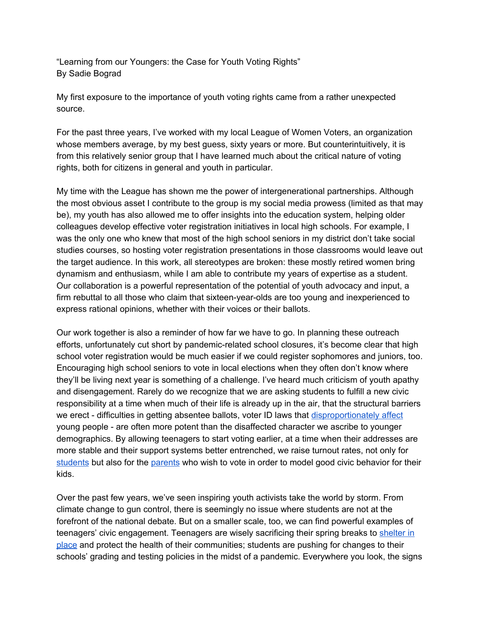"Learning from our Youngers: the Case for Youth Voting Rights" By Sadie Bograd

My first exposure to the importance of youth voting rights came from a rather unexpected source.

For the past three years, I've worked with my local League of Women Voters, an organization whose members average, by my best guess, sixty years or more. But counterintuitively, it is from this relatively senior group that I have learned much about the critical nature of voting rights, both for citizens in general and youth in particular.

My time with the League has shown me the power of intergenerational partnerships. Although the most obvious asset I contribute to the group is my social media prowess (limited as that may be), my youth has also allowed me to offer insights into the education system, helping older colleagues develop effective voter registration initiatives in local high schools. For example, I was the only one who knew that most of the high school seniors in my district don't take social studies courses, so hosting voter registration presentations in those classrooms would leave out the target audience. In this work, all stereotypes are broken: these mostly retired women bring dynamism and enthusiasm, while I am able to contribute my years of expertise as a student. Our collaboration is a powerful representation of the potential of youth advocacy and input, a firm rebuttal to all those who claim that sixteen-year-olds are too young and inexperienced to express rational opinions, whether with their voices or their ballots.

Our work together is also a reminder of how far we have to go. In planning these outreach efforts, unfortunately cut short by pandemic-related school closures, it's become clear that high school voter registration would be much easier if we could register sophomores and juniors, too. Encouraging high school seniors to vote in local elections when they often don't know where they'll be living next year is something of a challenge. I've heard much criticism of youth apathy and disengagement. Rarely do we recognize that we are asking students to fulfill a new civic responsibility at a time when much of their life is already up in the air, that the structural barriers we erect - difficulties in getting absentee ballots, voter ID laws that [disproportionately](https://www.politico.com/story/2013/03/study-finds-voter-id-laws-hurt-young-minorities-088773) affect young people - are often more potent than the disaffected character we ascribe to younger demographics. By allowing teenagers to start voting earlier, at a time when their addresses are more stable and their support systems better entrenched, we raise turnout rates, not only for [students](https://www.nlc.org/sites/default/files/users/user93/IYEF-Lower-the-Voting-Age_web.pdf) but also for th[e](https://www.washingtonpost.com/news/monkey-cage/wp/2018/02/28/the-surprising-consequence-of-lowering-the-voting-age/) [parents](https://www.washingtonpost.com/news/monkey-cage/wp/2018/02/28/the-surprising-consequence-of-lowering-the-voting-age/) who wish to vote in order to model good civic behavior for their kids.

Over the past few years, we've seen inspiring youth activists take the world by storm. From climate change to gun control, there is seemingly no issue where students are not at the forefront of the national debate. But on a smaller scale, too, we can find powerful examples of teenagers' civic engagement. Teenagers are wisely sacrificing their spring breaks t[o](https://twitter.com/hashtag/quaranteen?ref_src=twsrc%5Egoogle%7Ctwcamp%5Eserp%7Ctwgr%5Ehashtag) [shelter](https://twitter.com/hashtag/quaranteen?ref_src=twsrc%5Egoogle%7Ctwcamp%5Eserp%7Ctwgr%5Ehashtag) in [place](https://twitter.com/hashtag/quaranteen?ref_src=twsrc%5Egoogle%7Ctwcamp%5Eserp%7Ctwgr%5Ehashtag) and protect the health of their communities; students are pushing for changes to their schools' grading and testing policies in the midst of a pandemic. Everywhere you look, the signs